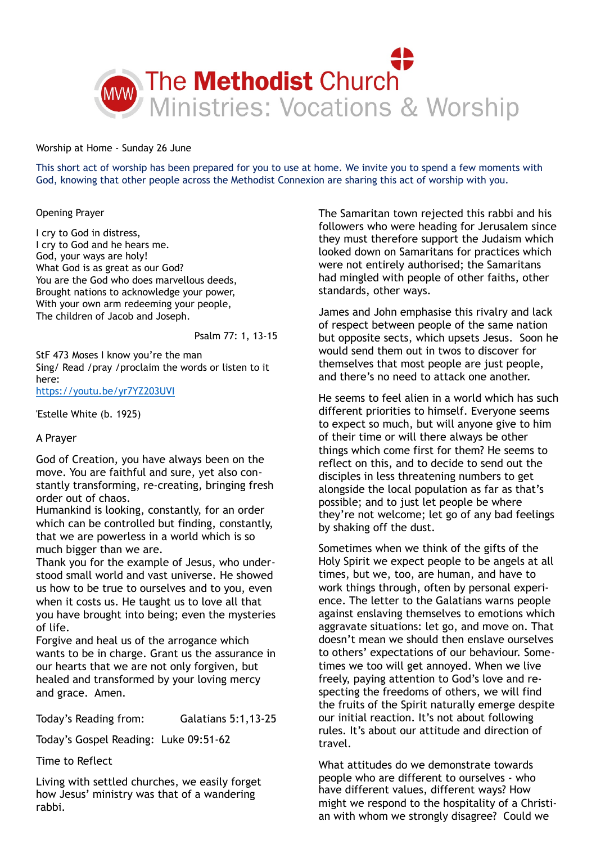

Worship at Home - Sunday 26 June

This short act of worship has been prepared for you to use at home. We invite you to spend a few moments with God, knowing that other people across the Methodist Connexion are sharing this act of worship with you.

### Opening Prayer

I cry to God in distress, I cry to God and he hears me. God, your ways are holy! What God is as great as our God? You are the God who does marvellous deeds, Brought nations to acknowledge your power, With your own arm redeeming your people, The children of Jacob and Joseph.

Psalm 77: 1, 13-15

StF 473 Moses I know you're the man Sing/ Read /pray /proclaim the words or listen to it here:

<https://youtu.be/yr7YZ203UVI>

'Estelle White (b. 1925)

# A Prayer

God of Creation, you have always been on the move. You are faithful and sure, yet also constantly transforming, re-creating, bringing fresh order out of chaos.

Humankind is looking, constantly, for an order which can be controlled but finding, constantly, that we are powerless in a world which is so much bigger than we are.

Thank you for the example of Jesus, who understood small world and vast universe. He showed us how to be true to ourselves and to you, even when it costs us. He taught us to love all that you have brought into being; even the mysteries of life.

Forgive and heal us of the arrogance which wants to be in charge. Grant us the assurance in our hearts that we are not only forgiven, but healed and transformed by your loving mercy and grace. Amen.

Today's Reading from: Galatians 5:1,13-25

Today's Gospel Reading: Luke 09:51-62

Time to Reflect

Living with settled churches, we easily forget how Jesus' ministry was that of a wandering rabbi.

The Samaritan town rejected this rabbi and his followers who were heading for Jerusalem since they must therefore support the Judaism which looked down on Samaritans for practices which were not entirely authorised; the Samaritans had mingled with people of other faiths, other standards, other ways.

James and John emphasise this rivalry and lack of respect between people of the same nation but opposite sects, which upsets Jesus. Soon he would send them out in twos to discover for themselves that most people are just people, and there's no need to attack one another.

He seems to feel alien in a world which has such different priorities to himself. Everyone seems to expect so much, but will anyone give to him of their time or will there always be other things which come first for them? He seems to reflect on this, and to decide to send out the disciples in less threatening numbers to get alongside the local population as far as that's possible; and to just let people be where they're not welcome; let go of any bad feelings by shaking off the dust.

Sometimes when we think of the gifts of the Holy Spirit we expect people to be angels at all times, but we, too, are human, and have to work things through, often by personal experience. The letter to the Galatians warns people against enslaving themselves to emotions which aggravate situations: let go, and move on. That doesn't mean we should then enslave ourselves to others' expectations of our behaviour. Sometimes we too will get annoyed. When we live freely, paying attention to God's love and respecting the freedoms of others, we will find the fruits of the Spirit naturally emerge despite our initial reaction. It's not about following rules. It's about our attitude and direction of travel.

What attitudes do we demonstrate towards people who are different to ourselves - who have different values, different ways? How might we respond to the hospitality of a Christian with whom we strongly disagree? Could we